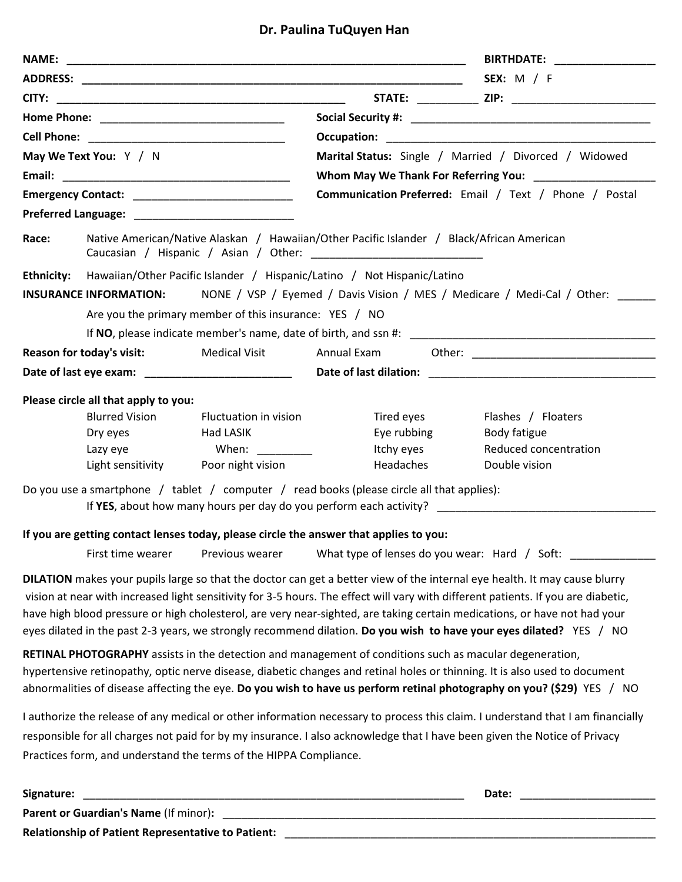## **Dr. Paulina TuQuyen Han**

|                        |                                                                                           |                                                                   |                                                                                                         | <b>BIRTHDATE:</b> _______________                                                                                                                                                                                                                                                                                                                                                                                                                                                                                  |  |  |  |  |  |  |  |
|------------------------|-------------------------------------------------------------------------------------------|-------------------------------------------------------------------|---------------------------------------------------------------------------------------------------------|--------------------------------------------------------------------------------------------------------------------------------------------------------------------------------------------------------------------------------------------------------------------------------------------------------------------------------------------------------------------------------------------------------------------------------------------------------------------------------------------------------------------|--|--|--|--|--|--|--|
|                        |                                                                                           |                                                                   | <b>SEX:</b> M / F                                                                                       |                                                                                                                                                                                                                                                                                                                                                                                                                                                                                                                    |  |  |  |  |  |  |  |
|                        |                                                                                           |                                                                   |                                                                                                         | STATE: _____________ ZIP: ___________________________                                                                                                                                                                                                                                                                                                                                                                                                                                                              |  |  |  |  |  |  |  |
|                        |                                                                                           |                                                                   |                                                                                                         |                                                                                                                                                                                                                                                                                                                                                                                                                                                                                                                    |  |  |  |  |  |  |  |
|                        |                                                                                           |                                                                   |                                                                                                         |                                                                                                                                                                                                                                                                                                                                                                                                                                                                                                                    |  |  |  |  |  |  |  |
| May We Text You: Y / N |                                                                                           |                                                                   | Marital Status: Single / Married / Divorced / Widowed                                                   |                                                                                                                                                                                                                                                                                                                                                                                                                                                                                                                    |  |  |  |  |  |  |  |
|                        |                                                                                           |                                                                   |                                                                                                         |                                                                                                                                                                                                                                                                                                                                                                                                                                                                                                                    |  |  |  |  |  |  |  |
|                        |                                                                                           |                                                                   | Communication Preferred: Email / Text / Phone / Postal                                                  |                                                                                                                                                                                                                                                                                                                                                                                                                                                                                                                    |  |  |  |  |  |  |  |
|                        |                                                                                           |                                                                   |                                                                                                         |                                                                                                                                                                                                                                                                                                                                                                                                                                                                                                                    |  |  |  |  |  |  |  |
| Race:                  | Native American/Native Alaskan / Hawaiian/Other Pacific Islander / Black/African American |                                                                   |                                                                                                         |                                                                                                                                                                                                                                                                                                                                                                                                                                                                                                                    |  |  |  |  |  |  |  |
|                        | Ethnicity: Hawaiian/Other Pacific Islander / Hispanic/Latino / Not Hispanic/Latino        |                                                                   |                                                                                                         |                                                                                                                                                                                                                                                                                                                                                                                                                                                                                                                    |  |  |  |  |  |  |  |
|                        | <b>INSURANCE INFORMATION:</b>                                                             |                                                                   |                                                                                                         | NONE / VSP / Eyemed / Davis Vision / MES / Medicare / Medi-Cal / Other:                                                                                                                                                                                                                                                                                                                                                                                                                                            |  |  |  |  |  |  |  |
|                        |                                                                                           | Are you the primary member of this insurance: YES / NO            |                                                                                                         |                                                                                                                                                                                                                                                                                                                                                                                                                                                                                                                    |  |  |  |  |  |  |  |
|                        |                                                                                           |                                                                   |                                                                                                         |                                                                                                                                                                                                                                                                                                                                                                                                                                                                                                                    |  |  |  |  |  |  |  |
|                        | <b>Reason for today's visit:</b>                                                          | Medical Visit Annual Exam                                         |                                                                                                         |                                                                                                                                                                                                                                                                                                                                                                                                                                                                                                                    |  |  |  |  |  |  |  |
|                        |                                                                                           |                                                                   |                                                                                                         |                                                                                                                                                                                                                                                                                                                                                                                                                                                                                                                    |  |  |  |  |  |  |  |
|                        |                                                                                           |                                                                   |                                                                                                         |                                                                                                                                                                                                                                                                                                                                                                                                                                                                                                                    |  |  |  |  |  |  |  |
|                        | Please circle all that apply to you:<br><b>Blurred Vision</b>                             | <b>Fluctuation in vision</b>                                      | Tired eyes                                                                                              | Flashes / Floaters                                                                                                                                                                                                                                                                                                                                                                                                                                                                                                 |  |  |  |  |  |  |  |
|                        | Dry eyes                                                                                  | Had LASIK                                                         | Eye rubbing                                                                                             | Body fatigue                                                                                                                                                                                                                                                                                                                                                                                                                                                                                                       |  |  |  |  |  |  |  |
|                        | Lazy eye                                                                                  | When: __________                                                  | Itchy eyes                                                                                              | Reduced concentration                                                                                                                                                                                                                                                                                                                                                                                                                                                                                              |  |  |  |  |  |  |  |
|                        |                                                                                           | Light sensitivity Poor night vision                               | Headaches                                                                                               | Double vision                                                                                                                                                                                                                                                                                                                                                                                                                                                                                                      |  |  |  |  |  |  |  |
|                        |                                                                                           |                                                                   | Do you use a smartphone / tablet / computer / read books (please circle all that applies):              |                                                                                                                                                                                                                                                                                                                                                                                                                                                                                                                    |  |  |  |  |  |  |  |
|                        |                                                                                           |                                                                   |                                                                                                         |                                                                                                                                                                                                                                                                                                                                                                                                                                                                                                                    |  |  |  |  |  |  |  |
|                        |                                                                                           |                                                                   | If you are getting contact lenses today, please circle the answer that applies to you:                  |                                                                                                                                                                                                                                                                                                                                                                                                                                                                                                                    |  |  |  |  |  |  |  |
|                        |                                                                                           |                                                                   |                                                                                                         | First time wearer Previous wearer What type of lenses do you wear: Hard / Soft: ____________________                                                                                                                                                                                                                                                                                                                                                                                                               |  |  |  |  |  |  |  |
|                        |                                                                                           |                                                                   |                                                                                                         | DILATION makes your pupils large so that the doctor can get a better view of the internal eye health. It may cause blurry<br>vision at near with increased light sensitivity for 3-5 hours. The effect will vary with different patients. If you are diabetic,<br>have high blood pressure or high cholesterol, are very near-sighted, are taking certain medications, or have not had your<br>eyes dilated in the past 2-3 years, we strongly recommend dilation. Do you wish to have your eyes dilated? YES / NO |  |  |  |  |  |  |  |
|                        |                                                                                           |                                                                   | RETINAL PHOTOGRAPHY assists in the detection and management of conditions such as macular degeneration, | hypertensive retinopathy, optic nerve disease, diabetic changes and retinal holes or thinning. It is also used to document<br>abnormalities of disease affecting the eye. Do you wish to have us perform retinal photography on you? (\$29) YES / NO                                                                                                                                                                                                                                                               |  |  |  |  |  |  |  |
|                        |                                                                                           | Practices form, and understand the terms of the HIPPA Compliance. |                                                                                                         | I authorize the release of any medical or other information necessary to process this claim. I understand that I am financially<br>responsible for all charges not paid for by my insurance. I also acknowledge that I have been given the Notice of Privacy                                                                                                                                                                                                                                                       |  |  |  |  |  |  |  |
| Signature:             |                                                                                           |                                                                   |                                                                                                         |                                                                                                                                                                                                                                                                                                                                                                                                                                                                                                                    |  |  |  |  |  |  |  |

**Relationship of Patient Representative to Patient:** \_\_\_\_\_\_\_\_\_\_\_\_\_\_\_\_\_\_\_\_\_\_\_\_\_\_\_\_\_\_\_\_\_\_\_\_\_\_\_\_\_\_\_\_\_\_\_\_\_\_\_\_\_\_\_\_\_\_\_\_\_